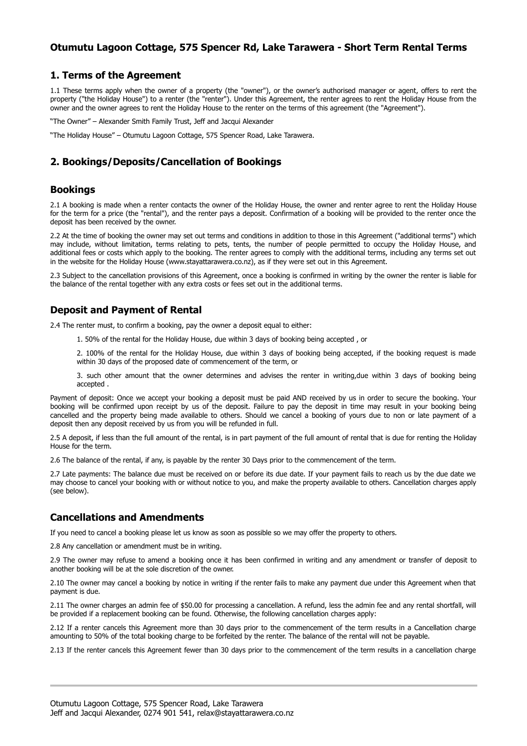## **Otumutu Lagoon Cottage, 575 Spencer Rd, Lake Tarawera - Short Term Rental Terms**

#### **1. Terms of the Agreement**

1.1 These terms apply when the owner of a property (the "owner"), or the owner's authorised manager or agent, offers to rent the property ("the Holiday House") to a renter (the "renter"). Under this Agreement, the renter agrees to rent the Holiday House from the owner and the owner agrees to rent the Holiday House to the renter on the terms of this agreement (the "Agreement").

"The Owner" – Alexander Smith Family Trust, Jeff and Jacqui Alexander

"The Holiday House" – Otumutu Lagoon Cottage, 575 Spencer Road, Lake Tarawera.

### **2. Bookings/Deposits/Cancellation of Bookings**

#### **Bookings**

2.1 A booking is made when a renter contacts the owner of the Holiday House, the owner and renter agree to rent the Holiday House for the term for a price (the "rental"), and the renter pays a deposit. Confirmation of a booking will be provided to the renter once the deposit has been received by the owner.

2.2 At the time of booking the owner may set out terms and conditions in addition to those in this Agreement ("additional terms") which may include, without limitation, terms relating to pets, tents, the number of people permitted to occupy the Holiday House, and additional fees or costs which apply to the booking. The renter agrees to comply with the additional terms, including any terms set out in the website for the Holiday House (www.stayattarawera.co.nz), as if they were set out in this Agreement.

2.3 Subject to the cancellation provisions of this Agreement, once a booking is confirmed in writing by the owner the renter is liable for the balance of the rental together with any extra costs or fees set out in the additional terms.

### **Deposit and Payment of Rental**

2.4 The renter must, to confirm a booking, pay the owner a deposit equal to either:

1. 50% of the rental for the Holiday House, due within 3 days of booking being accepted , or

2. 100% of the rental for the Holiday House, due within 3 days of booking being accepted, if the booking request is made within 30 days of the proposed date of commencement of the term, or

3. such other amount that the owner determines and advises the renter in writing,due within 3 days of booking being accepted .

Payment of deposit: Once we accept your booking a deposit must be paid AND received by us in order to secure the booking. Your booking will be confirmed upon receipt by us of the deposit. Failure to pay the deposit in time may result in your booking being cancelled and the property being made available to others. Should we cancel a booking of yours due to non or late payment of a deposit then any deposit received by us from you will be refunded in full.

2.5 A deposit, if less than the full amount of the rental, is in part payment of the full amount of rental that is due for renting the Holiday House for the term.

2.6 The balance of the rental, if any, is payable by the renter 30 Days prior to the commencement of the term.

2.7 Late payments: The balance due must be received on or before its due date. If your payment fails to reach us by the due date we may choose to cancel your booking with or without notice to you, and make the property available to others. Cancellation charges apply (see below).

#### **Cancellations and Amendments**

If you need to cancel a booking please let us know as soon as possible so we may offer the property to others.

2.8 Any cancellation or amendment must be in writing.

2.9 The owner may refuse to amend a booking once it has been confirmed in writing and any amendment or transfer of deposit to another booking will be at the sole discretion of the owner.

2.10 The owner may cancel a booking by notice in writing if the renter fails to make any payment due under this Agreement when that payment is due.

2.11 The owner charges an admin fee of \$50.00 for processing a cancellation. A refund, less the admin fee and any rental shortfall, will be provided if a replacement booking can be found. Otherwise, the following cancellation charges apply:

2.12 If a renter cancels this Agreement more than 30 days prior to the commencement of the term results in a Cancellation charge amounting to 50% of the total booking charge to be forfeited by the renter. The balance of the rental will not be payable.

2.13 If the renter cancels this Agreement fewer than 30 days prior to the commencement of the term results in a cancellation charge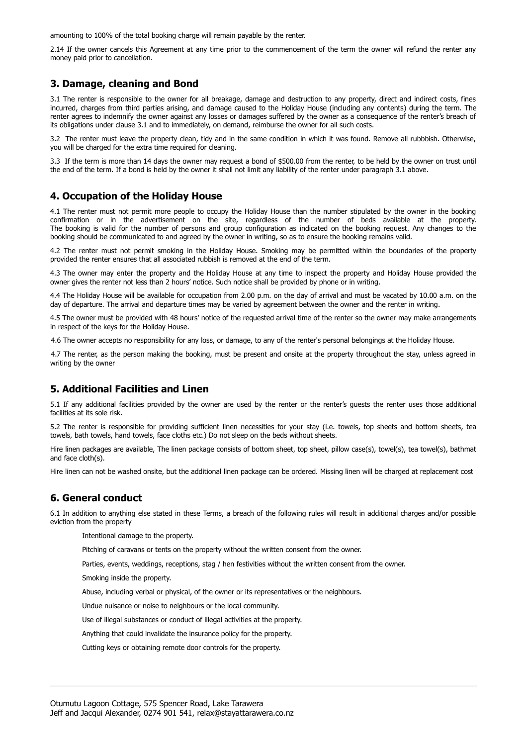amounting to 100% of the total booking charge will remain payable by the renter.

2.14 If the owner cancels this Agreement at any time prior to the commencement of the term the owner will refund the renter any money paid prior to cancellation.

## **3. Damage, cleaning and Bond**

3.1 The renter is responsible to the owner for all breakage, damage and destruction to any property, direct and indirect costs, fines incurred, charges from third parties arising, and damage caused to the Holiday House (including any contents) during the term. The renter agrees to indemnify the owner against any losses or damages suffered by the owner as a consequence of the renter's breach of its obligations under clause 3.1 and to immediately, on demand, reimburse the owner for all such costs.

3.2 The renter must leave the property clean, tidy and in the same condition in which it was found. Remove all rubbbish. Otherwise, you will be charged for the extra time required for cleaning.

3.3 If the term is more than 14 days the owner may request a bond of \$500.00 from the renter, to be held by the owner on trust until the end of the term. If a bond is held by the owner it shall not limit any liability of the renter under paragraph 3.1 above.

### **4. Occupation of the Holiday House**

4.1 The renter must not permit more people to occupy the Holiday House than the number stipulated by the owner in the booking confirmation or in the advertisement on the site, regardless of the number of beds available at the property. The booking is valid for the number of persons and group configuration as indicated on the booking request. Any changes to the booking should be communicated to and agreed by the owner in writing, so as to ensure the booking remains valid.

4.2 The renter must not permit smoking in the Holiday House. Smoking may be permitted within the boundaries of the property provided the renter ensures that all associated rubbish is removed at the end of the term.

4.3 The owner may enter the property and the Holiday House at any time to inspect the property and Holiday House provided the owner gives the renter not less than 2 hours' notice. Such notice shall be provided by phone or in writing.

4.4 The Holiday House will be available for occupation from 2.00 p.m. on the day of arrival and must be vacated by 10.00 a.m. on the day of departure. The arrival and departure times may be varied by agreement between the owner and the renter in writing.

4.5 The owner must be provided with 48 hours' notice of the requested arrival time of the renter so the owner may make arrangements in respect of the keys for the Holiday House.

4.6 The owner accepts no responsibility for any loss, or damage, to any of the renter's personal belongings at the Holiday House.

4.7 The renter, as the person making the booking, must be present and onsite at the property throughout the stay, unless agreed in writing by the owner

## **5. Additional Facilities and Linen**

5.1 If any additional facilities provided by the owner are used by the renter or the renter's guests the renter uses those additional facilities at its sole risk.

5.2 The renter is responsible for providing sufficient linen necessities for your stay (i.e. towels, top sheets and bottom sheets, tea towels, bath towels, hand towels, face cloths etc.) Do not sleep on the beds without sheets.

Hire linen packages are available, The linen package consists of bottom sheet, top sheet, pillow case(s), towel(s), tea towel(s), bathmat and face cloth(s).

Hire linen can not be washed onsite, but the additional linen package can be ordered. Missing linen will be charged at replacement cost

#### **6. General conduct**

6.1 In addition to anything else stated in these Terms, a breach of the following rules will result in additional charges and/or possible eviction from the property

Intentional damage to the property.

Pitching of caravans or tents on the property without the written consent from the owner.

Parties, events, weddings, receptions, stag / hen festivities without the written consent from the owner.

Smoking inside the property.

Abuse, including verbal or physical, of the owner or its representatives or the neighbours.

Undue nuisance or noise to neighbours or the local community.

Use of illegal substances or conduct of illegal activities at the property.

Anything that could invalidate the insurance policy for the property.

Cutting keys or obtaining remote door controls for the property.